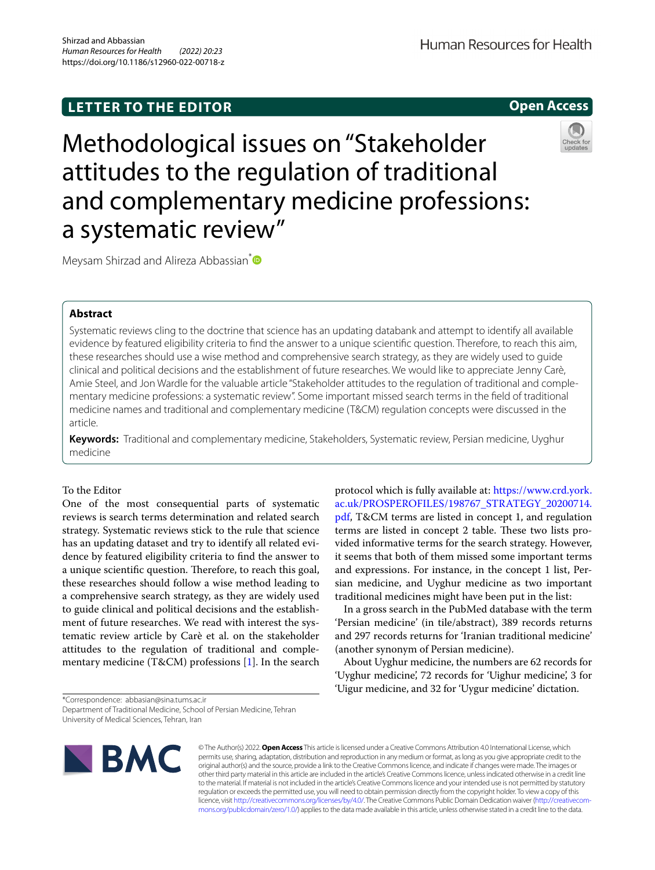# **LETTER TO THE EDITOR**

Human Resources for Health

**Open Access**

# Methodological issues on "Stakeholder attitudes to the regulation of traditional and complementary medicine professions: a systematic review"



Meysam Shirzad and Alireza Abbassian<sup>[\\*](http://orcid.org/0000-0002-3759-7731)</sup>

## **Abstract**

Systematic reviews cling to the doctrine that science has an updating databank and attempt to identify all available evidence by featured eligibility criteria to fnd the answer to a unique scientifc question. Therefore, to reach this aim, these researches should use a wise method and comprehensive search strategy, as they are widely used to guide clinical and political decisions and the establishment of future researches. We would like to appreciate Jenny Carè, Amie Steel, and Jon Wardle for the valuable article "Stakeholder attitudes to the regulation of traditional and complementary medicine professions: a systematic review". Some important missed search terms in the feld of traditional medicine names and traditional and complementary medicine (T&CM) regulation concepts were discussed in the article.

**Keywords:** Traditional and complementary medicine, Stakeholders, Systematic review, Persian medicine, Uyghur medicine

### To the Editor

One of the most consequential parts of systematic reviews is search terms determination and related search strategy. Systematic reviews stick to the rule that science has an updating dataset and try to identify all related evidence by featured eligibility criteria to fnd the answer to a unique scientific question. Therefore, to reach this goal, these researches should follow a wise method leading to a comprehensive search strategy, as they are widely used to guide clinical and political decisions and the establishment of future researches. We read with interest the systematic review article by Carè et al. on the stakeholder attitudes to the regulation of traditional and complementary medicine (T&CM) professions [\[1](#page-1-0)]. In the search

\*Correspondence: abbasian@sina.tums.ac.ir

Department of Traditional Medicine, School of Persian Medicine, Tehran University of Medical Sciences, Tehran, Iran



© The Author(s) 2022. **Open Access** This article is licensed under a Creative Commons Attribution 4.0 International License, which permits use, sharing, adaptation, distribution and reproduction in any medium or format, as long as you give appropriate credit to the original author(s) and the source, provide a link to the Creative Commons licence, and indicate if changes were made. The images or other third party material in this article are included in the article's Creative Commons licence, unless indicated otherwise in a credit line to the material. If material is not included in the article's Creative Commons licence and your intended use is not permitted by statutory regulation or exceeds the permitted use, you will need to obtain permission directly from the copyright holder. To view a copy of this

licence, visit [http://creativecommons.org/licenses/by/4.0/.](http://creativecommons.org/licenses/by/4.0/) The Creative Commons Public Domain Dedication waiver ([http://creativecom](http://creativecommons.org/publicdomain/zero/1.0/)[mons.org/publicdomain/zero/1.0/\)](http://creativecommons.org/publicdomain/zero/1.0/) applies to the data made available in this article, unless otherwise stated in a credit line to the data.

protocol which is fully available at: [https://www.crd.york.](https://www.crd.york.ac.uk/PROSPEROFILES/198767_STRATEGY_20200714.pdf) [ac.uk/PROSPEROFILES/198767\\_STRATEGY\\_20200714.](https://www.crd.york.ac.uk/PROSPEROFILES/198767_STRATEGY_20200714.pdf) [pdf](https://www.crd.york.ac.uk/PROSPEROFILES/198767_STRATEGY_20200714.pdf), T&CM terms are listed in concept 1, and regulation terms are listed in concept 2 table. These two lists provided informative terms for the search strategy. However, it seems that both of them missed some important terms and expressions. For instance, in the concept 1 list, Persian medicine, and Uyghur medicine as two important traditional medicines might have been put in the list:

In a gross search in the PubMed database with the term 'Persian medicine' (in tile/abstract), 389 records returns and 297 records returns for 'Iranian traditional medicine' (another synonym of Persian medicine).

About Uyghur medicine, the numbers are 62 records for 'Uyghur medicine', 72 records for 'Uighur medicine', 3 for 'Uigur medicine, and 32 for 'Uygur medicine' dictation.